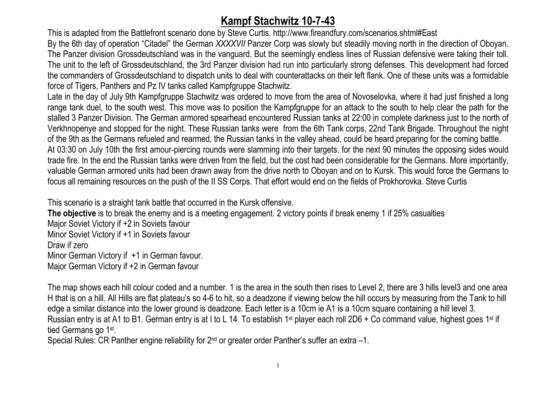## **Kampf Stachwitz 10-7-43**

 This is adapted from the Battlefront scenario done by Steve Curtis. http://www.fireandfury.com/scenarios.shtml#East By the 6th day of operation "Citadel" the German *XXXXVII* Panzer Corp was slowly but steadily moving north in the direction of Oboyan. The Panzer division Grossdeutschland was in the vanguard. But the seemingly endless lines of Russian defensive were taking their toll. The unit to the left of Grossdeutschland, the 3rd Panzer division had run into particularly strong defenses. This development had forced the commanders of Grossdeutschland to dispatch units to deal with counterattacks on their left flank. One of these units was a formidable force of Tigers, Panthers and Pz IV tanks called Kampfgruppe Stachwitz.

Late in the day of July 9th Kampfgruppe Stachwitz was ordered to move from the area of Novoselovka, where it had just finished a long range tank duel, to the south west. This move was to position the Kampfgruppe for an attack to the south to help clear the path for the stalled 3 Panzer Division. The German armored spearhead encountered Russian tanks at 22:00 in complete darkness just to the north of Verkhnopenye and stopped for the night. These Russian tanks were from the 6th Tank corps, 22nd Tank Brigade. Throughout the night of the 9th as the Germans refueled and rearmed, the Russian tanks in the valley ahead, could be heard preparing for the coming battle. At 03:30 on July 10th the first amour-piercing rounds were slamming into their targets. for the next 90 minutes the opposing sides would trade fire. In the end the Russian tanks were driven from the field, but the cost had been considerable for the Germans. More importantly, valuable German armored units had been drawn away from the drive north to Oboyan and on to Kursk. This would force the Germans to focus all remaining resources on the push of the II SS Corps. That effort would end on the fields of Prokhorovka. Steve Curtis

This scenario is a straight tank battle that occurred in the Kursk offensive. **The objective** is to break the enemy and is a meeting engagement. 2 victory points if break enemy 1 if 25% casualties Major Soviet Victory if +2 in Soviets favour Minor Soviet Victory if +1 in Soviets favour Draw if zero Minor German Victory if +1 in German favour. Major German Victory if +2 in German favour

The map shows each hill colour coded and a number. 1 is the area in the south then rises to Level 2, there are 3 hills level3 and one area H that is on a hill. All Hills are flat plateau's so 4-6 to hit, so a deadzone if viewing below the hill occurs by measuring from the Tank to hill edge a similar distance into the lower ground is deadzone. Each letter is a 10cm ie A1 is a 10cm square containing a hill level 3. Russian entry is at A1 to B1. German entry is at I to L 14. To establish 1<sup>st</sup> player each roll 2D6 + Co command value, highest goes 1<sup>st</sup> if tied Germans go 1<sup>st</sup>.<br>Special Rules: CR Panther engine reliability for 2<sup>nd</sup> or greater order Panther's suffer an extra –1.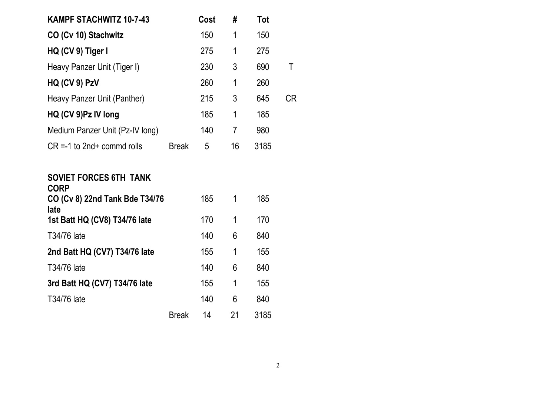| <b>KAMPF STACHWITZ 10-7-43</b>   |              | Cost | #  | Tot  |     |
|----------------------------------|--------------|------|----|------|-----|
| CO (Cv 10) Stachwitz             |              | 150  | 1  | 150  |     |
| HQ (CV 9) Tiger I                |              | 275  | 1  | 275  |     |
| Heavy Panzer Unit (Tiger I)      |              | 230  | 3  | 690  | Τ   |
| HQ (CV 9) PzV                    |              | 260  | 1  | 260  |     |
| Heavy Panzer Unit (Panther)      |              | 215  | 3  | 645  | CR. |
| HQ (CV 9)Pz IV long              |              | 185  | 1  | 185  |     |
| Medium Panzer Unit (Pz-IV long)  |              | 140  | 7  | 980  |     |
| $CR = -1$ to $2nd +$ commd rolls | <b>Break</b> | 5    | 16 | 3185 |     |
|                                  |              |      |    |      |     |

## **SOVIET FORCES 6TH TANK**

| <b>CORP</b><br>CO (Cv 8) 22nd Tank Bde T34/76<br>late |              | 185 | 1  | 185  |
|-------------------------------------------------------|--------------|-----|----|------|
| 1st Batt HQ (CV8) T34/76 late                         |              | 170 | 1  | 170  |
| T34/76 late                                           |              | 140 | 6  | 840  |
| 2nd Batt HQ (CV7) T34/76 late                         |              | 155 | 1  | 155  |
| T34/76 late                                           |              | 140 | 6  | 840  |
| 3rd Batt HQ (CV7) T34/76 late                         |              | 155 | 1  | 155  |
| T34/76 late                                           |              | 140 | 6  | 840  |
|                                                       | <b>Break</b> | 14  | 21 | 3185 |